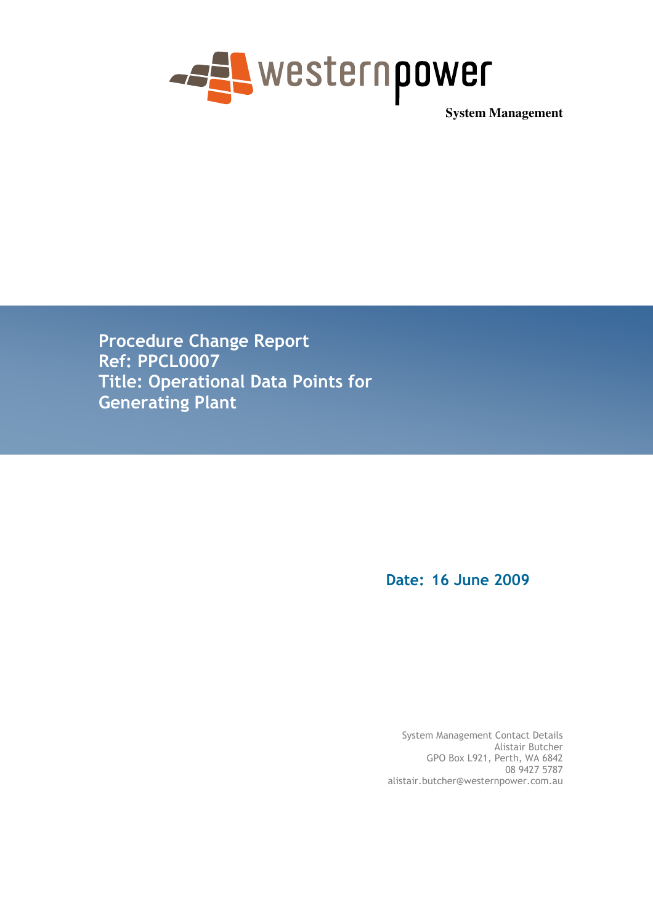

**System Management** 

Procedure Change Report Ref: PPCL0007 Title: Operational Data Points for Generating Plant

Date: 16 June 2009

System Management Contact Details Alistair Butcher GPO Box L921, Perth, WA 6842 08 9427 5787 alistair.butcher@westernpower.com.au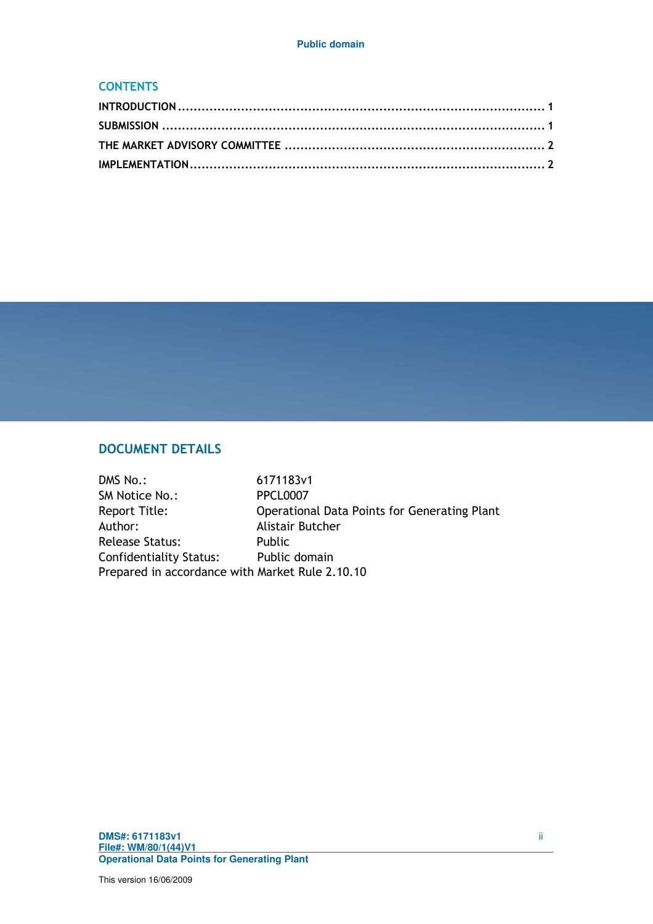#### **CONTENTS**

# DOCUMENT DETAILS

| DMS No.:                                        | 6171183v1                                    |
|-------------------------------------------------|----------------------------------------------|
| SM Notice No.:                                  | <b>PPCL0007</b>                              |
| Report Title:                                   | Operational Data Points for Generating Plant |
| Author:                                         | Alistair Butcher                             |
| <b>Release Status:</b>                          | <b>Public</b>                                |
| Confidentiality Status:                         | Public domain                                |
| Prepared in accordance with Market Rule 2.10.10 |                                              |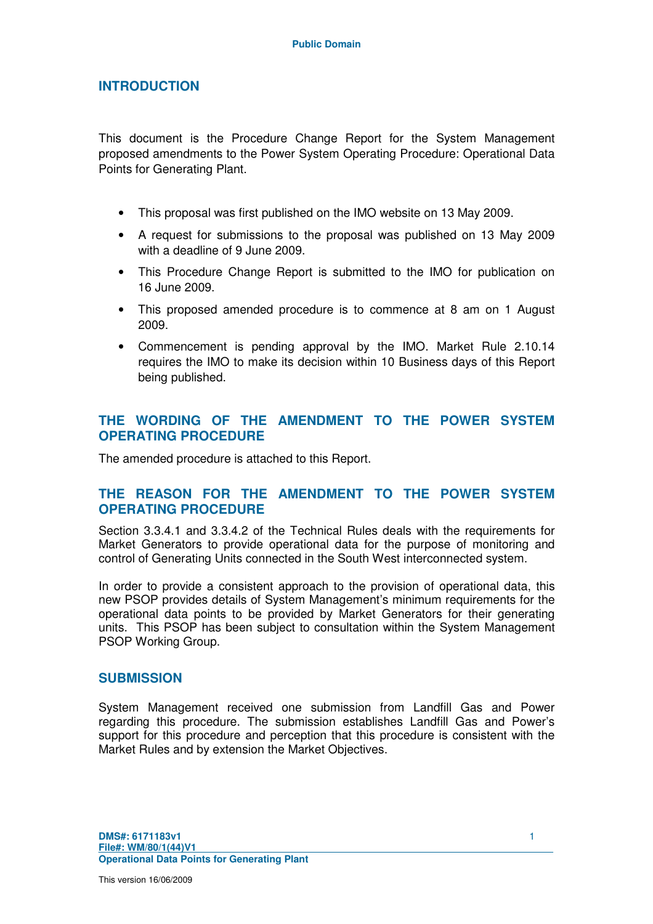## **INTRODUCTION**

This document is the Procedure Change Report for the System Management proposed amendments to the Power System Operating Procedure: Operational Data Points for Generating Plant.

- This proposal was first published on the IMO website on 13 May 2009.
- A request for submissions to the proposal was published on 13 May 2009 with a deadline of 9 June 2009.
- This Procedure Change Report is submitted to the IMO for publication on 16 June 2009.
- This proposed amended procedure is to commence at 8 am on 1 August 2009.
- Commencement is pending approval by the IMO. Market Rule 2.10.14 requires the IMO to make its decision within 10 Business days of this Report being published.

## **THE WORDING OF THE AMENDMENT TO THE POWER SYSTEM OPERATING PROCEDURE**

The amended procedure is attached to this Report.

## **THE REASON FOR THE AMENDMENT TO THE POWER SYSTEM OPERATING PROCEDURE**

Section 3.3.4.1 and 3.3.4.2 of the Technical Rules deals with the requirements for Market Generators to provide operational data for the purpose of monitoring and control of Generating Units connected in the South West interconnected system.

In order to provide a consistent approach to the provision of operational data, this new PSOP provides details of System Management's minimum requirements for the operational data points to be provided by Market Generators for their generating units. This PSOP has been subject to consultation within the System Management PSOP Working Group.

#### **SUBMISSION**

System Management received one submission from Landfill Gas and Power regarding this procedure. The submission establishes Landfill Gas and Power's support for this procedure and perception that this procedure is consistent with the Market Rules and by extension the Market Objectives.